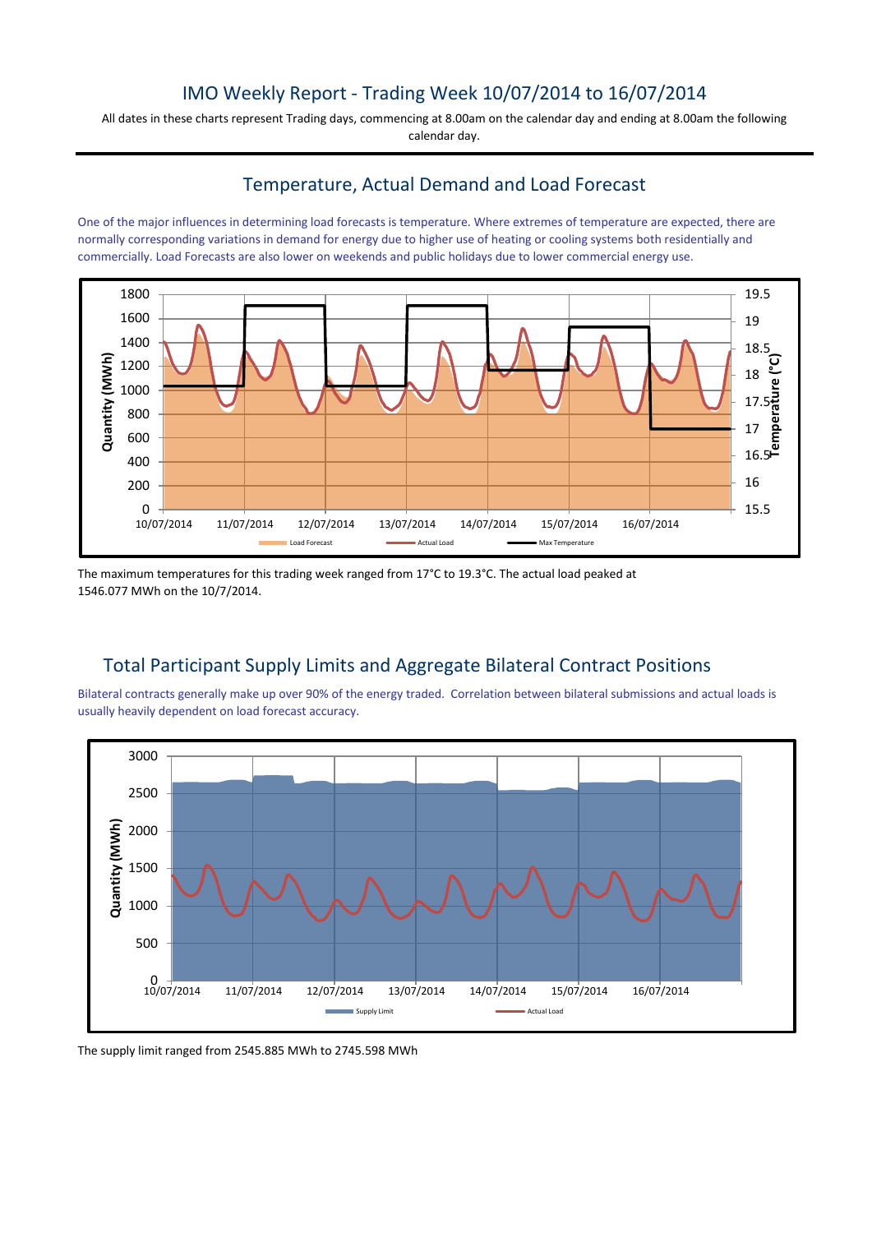## IMO Weekly Report - Trading Week 10/07/2014 to 16/07/2014

All dates in these charts represent Trading days, commencing at 8.00am on the calendar day and ending at 8.00am the following calendar day.

#### Temperature, Actual Demand and Load Forecast

One of the major influences in determining load forecasts is temperature. Where extremes of temperature are expected, there are normally corresponding variations in demand for energy due to higher use of heating or cooling systems both residentially and commercially. Load Forecasts are also lower on weekends and public holidays due to lower commercial energy use.



The maximum temperatures for this trading week ranged from 17°C to 19.3°C. The actual load peaked at 1546.077 MWh on the 10/7/2014.

# Total Participant Supply Limits and Aggregate Bilateral Contract Positions

Bilateral contracts generally make up over 90% of the energy traded. Correlation between bilateral submissions and actual loads is usually heavily dependent on load forecast accuracy.



The supply limit ranged from 2545.885 MWh to 2745.598 MWh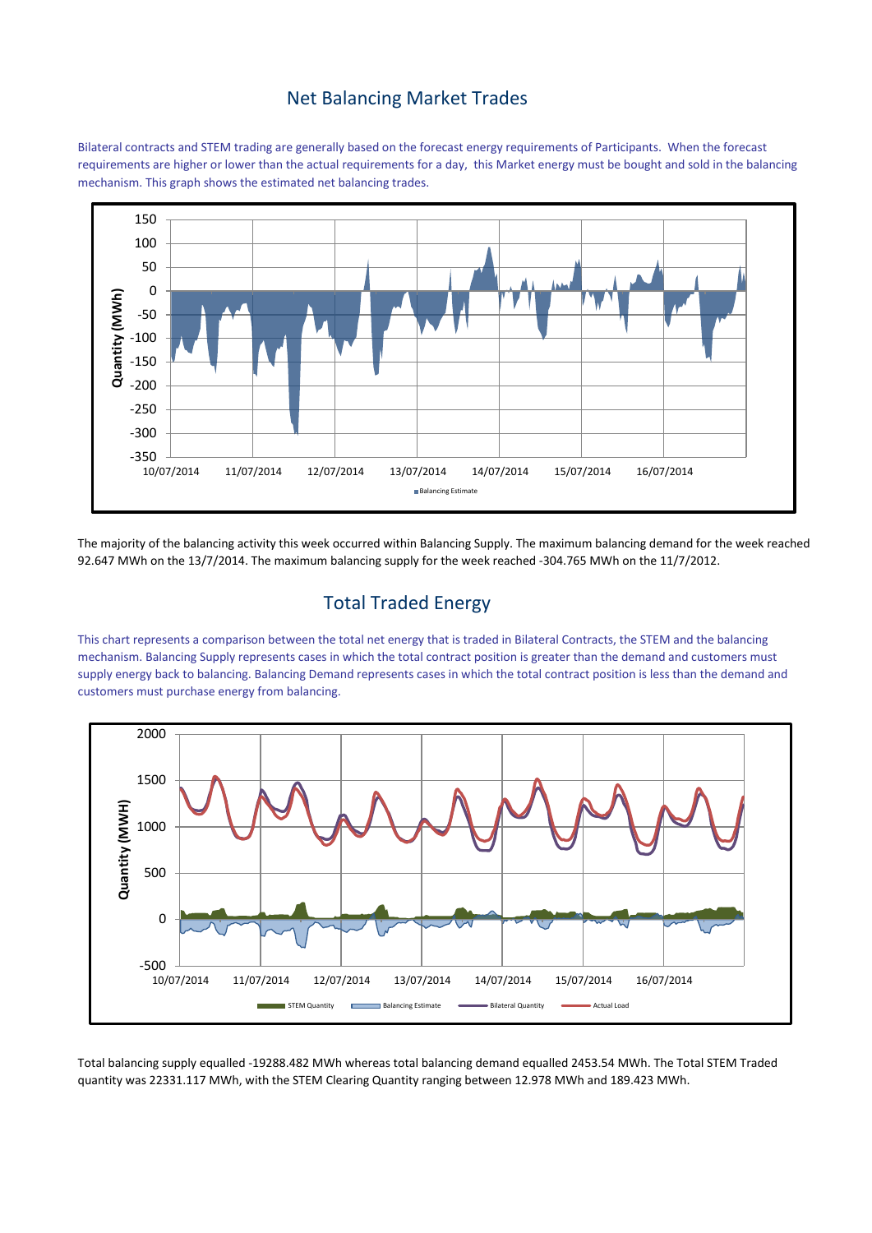#### Net Balancing Market Trades

Bilateral contracts and STEM trading are generally based on the forecast energy requirements of Participants. When the forecast requirements are higher or lower than the actual requirements for a day, this Market energy must be bought and sold in the balancing mechanism. This graph shows the estimated net balancing trades.



The majority of the balancing activity this week occurred within Balancing Supply. The maximum balancing demand for the week reached 92.647 MWh on the 13/7/2014. The maximum balancing supply for the week reached -304.765 MWh on the 11/7/2012.

# Total Traded Energy

This chart represents a comparison between the total net energy that is traded in Bilateral Contracts, the STEM and the balancing mechanism. Balancing Supply represents cases in which the total contract position is greater than the demand and customers must supply energy back to balancing. Balancing Demand represents cases in which the total contract position is less than the demand and customers must purchase energy from balancing.



Total balancing supply equalled -19288.482 MWh whereas total balancing demand equalled 2453.54 MWh. The Total STEM Traded quantity was 22331.117 MWh, with the STEM Clearing Quantity ranging between 12.978 MWh and 189.423 MWh.